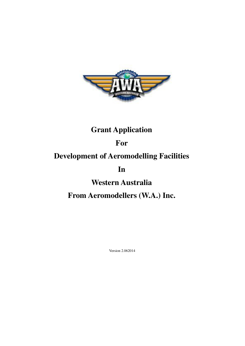

# **Grant Application**

### **For**

# **Development of Aeromodelling Facilities**

**In** 

**Western Australia** 

**From Aeromodellers (W.A.) Inc.** 

Version 2.062014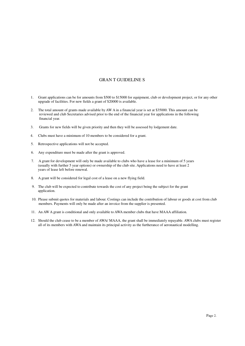### GRAN T GUIDELINE S

- 1. Grant applications can be for amounts from \$500 to \$15000 for equipment, club or development project, or for any other upgrade of facilities. For new fields a grant of \$20000 is available.
- 2. The total amount of grants made available by AW A in a financial year is set at \$35000. This amount can be reviewed and club Secretaries advised prior to the end of the financial year for applications in the following financial year.
- 3. Grants for new fields will be given priority and then they will be assessed by lodgement date.
- 4. Clubs must have a minimum of 10 members to be considered for a grant.
- 5. Retrospective applications will not be accepted.
- 6. Any expenditure must be made after the grant is approved.
- 7. A grant for development will only be made available to clubs who have a lease for a minimum of 5 years (usually with further 5 year options) or ownership of the club site. Applications need to have at least 2 years of lease left before renewal.
- 8. A grant will be considered for legal cost of a lease on a new flying field.
- 9. The club will be expected to contribute towards the cost of any project being the subject for the grant application.
- 10. Please submit quotes for materials and labour. Costings can include the contribution of labour or goods at cost from club members. Payments will only be made after an invoice from the supplier is presented.
- 11. An AW A grant is conditional and only available to AWA member clubs that have MAAA affiliation.
- 12. Should the club cease to be a member of AWA/ MAAA, the grant shall be immediately repayable. AWA clubs must register all of its members with AWA and maintain its principal activity as the furtherance of aeronautical modelling.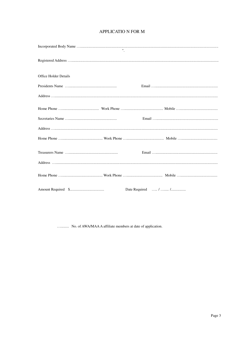| <b>Office Holder Details</b> |  |  |
|------------------------------|--|--|
|                              |  |  |
|                              |  |  |
|                              |  |  |
|                              |  |  |
|                              |  |  |
|                              |  |  |
|                              |  |  |
|                              |  |  |
|                              |  |  |
|                              |  |  |

............ No. of AWA/MAA A affiliate members at date of application.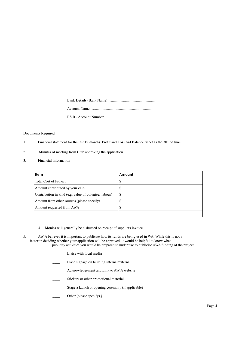#### Documents Required

- 1. Financial statement for the last 12 months. Profit and Loss and Balance Sheet as the 30\* of June.
- 2. Minutes of meeting from Club approving the application.
- 3. Financial information

| Item                                                  | Amount |
|-------------------------------------------------------|--------|
| Total Cost of Project                                 | \$     |
| Amount contributed by your club                       | \$     |
| Contribution in kind (e.g. value of volunteer labour) | \$     |
| Amount from other sources (please specify)            | \$     |
| Amount requested from AWA                             | S      |
|                                                       |        |

- 4. Monies will generally be disbursed on receipt of suppliers invoice.
- 5. AW A believes it is important to publicise how its funds are being used in WA. While this is not a factor in deciding whether your application will be approved, it would be helpful to know what publicity activities you would be prepared to undertake to publicise AWA funding of the project.
	- Liaise with local media
	- Place signage on building internal/external
	- Acknowledgement and Link to AW A website
	- Stickers or other promotional material
	- Stage a launch or opening ceremony (if applicable)
	- Other (please specify) j